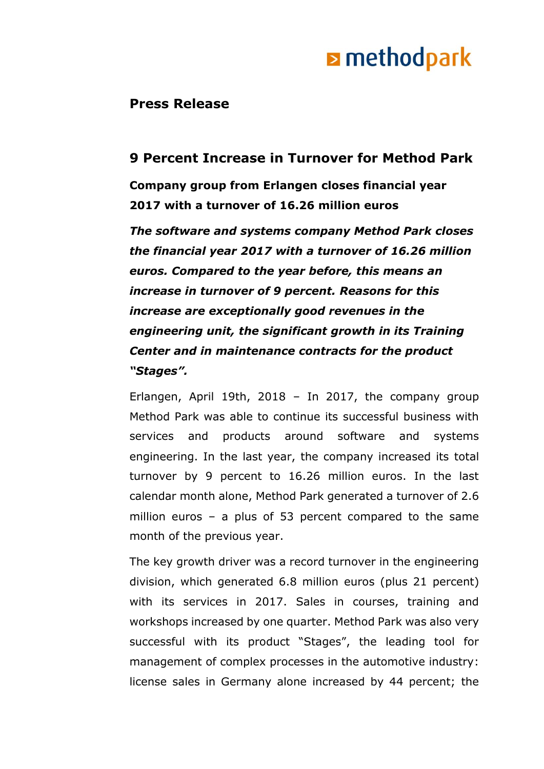## **E** methodpark

### **Press Release**

### **9 Percent Increase in Turnover for Method Park**

**Company group from Erlangen closes financial year 2017 with a turnover of 16.26 million euros**

*The software and systems company Method Park closes the financial year 2017 with a turnover of 16.26 million euros. Compared to the year before, this means an increase in turnover of 9 percent. Reasons for this increase are exceptionally good revenues in the engineering unit, the significant growth in its Training Center and in maintenance contracts for the product "Stages".*

Erlangen, April 19th, 2018 – In 2017, the company group Method Park was able to continue its successful business with services and products around software and systems engineering. In the last year, the company increased its total turnover by 9 percent to 16.26 million euros. In the last calendar month alone, Method Park generated a turnover of 2.6 million euros – a plus of 53 percent compared to the same month of the previous year.

The key growth driver was a record turnover in the engineering division, which generated 6.8 million euros (plus 21 percent) with its services in 2017. Sales in courses, training and workshops increased by one quarter. Method Park was also very successful with its product "Stages", the leading tool for management of complex processes in the automotive industry: license sales in Germany alone increased by 44 percent; the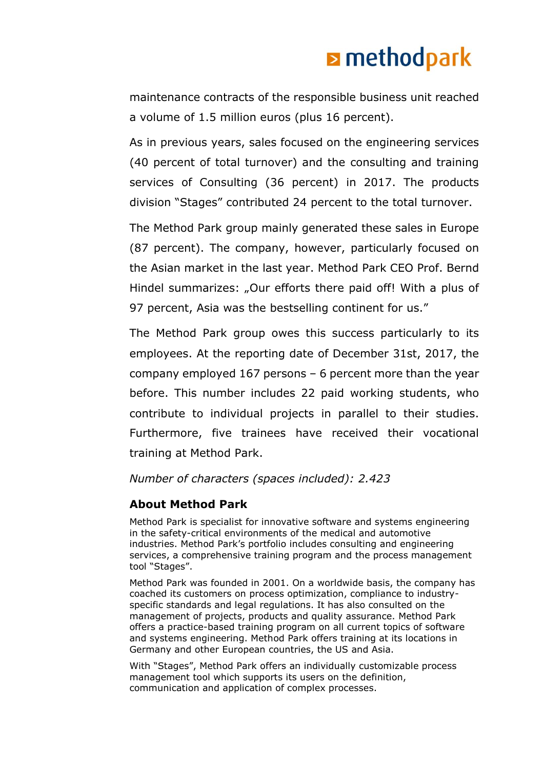# **E** methodpark

maintenance contracts of the responsible business unit reached a volume of 1.5 million euros (plus 16 percent).

As in previous years, sales focused on the engineering services (40 percent of total turnover) and the consulting and training services of Consulting (36 percent) in 2017. The products division "Stages" contributed 24 percent to the total turnover.

The Method Park group mainly generated these sales in Europe (87 percent). The company, however, particularly focused on the Asian market in the last year. Method Park CEO Prof. Bernd Hindel summarizes: "Our efforts there paid off! With a plus of 97 percent, Asia was the bestselling continent for us."

The Method Park group owes this success particularly to its employees. At the reporting date of December 31st, 2017, the company employed 167 persons – 6 percent more than the year before. This number includes 22 paid working students, who contribute to individual projects in parallel to their studies. Furthermore, five trainees have received their vocational training at Method Park.

*Number of characters (spaces included): 2.423*

### **About Method Park**

Method Park is specialist for innovative software and systems engineering in the safety-critical environments of the medical and automotive industries. Method Park's portfolio includes consulting and engineering services, a comprehensive training program and the process management tool "Stages".

Method Park was founded in 2001. On a worldwide basis, the company has coached its customers on process optimization, compliance to industryspecific standards and legal regulations. It has also consulted on the management of projects, products and quality assurance. Method Park offers a practice-based training program on all current topics of software and systems engineering. Method Park offers training at its locations in Germany and other European countries, the US and Asia.

With "Stages", Method Park offers an individually customizable process management tool which supports its users on the definition, communication and application of complex processes.